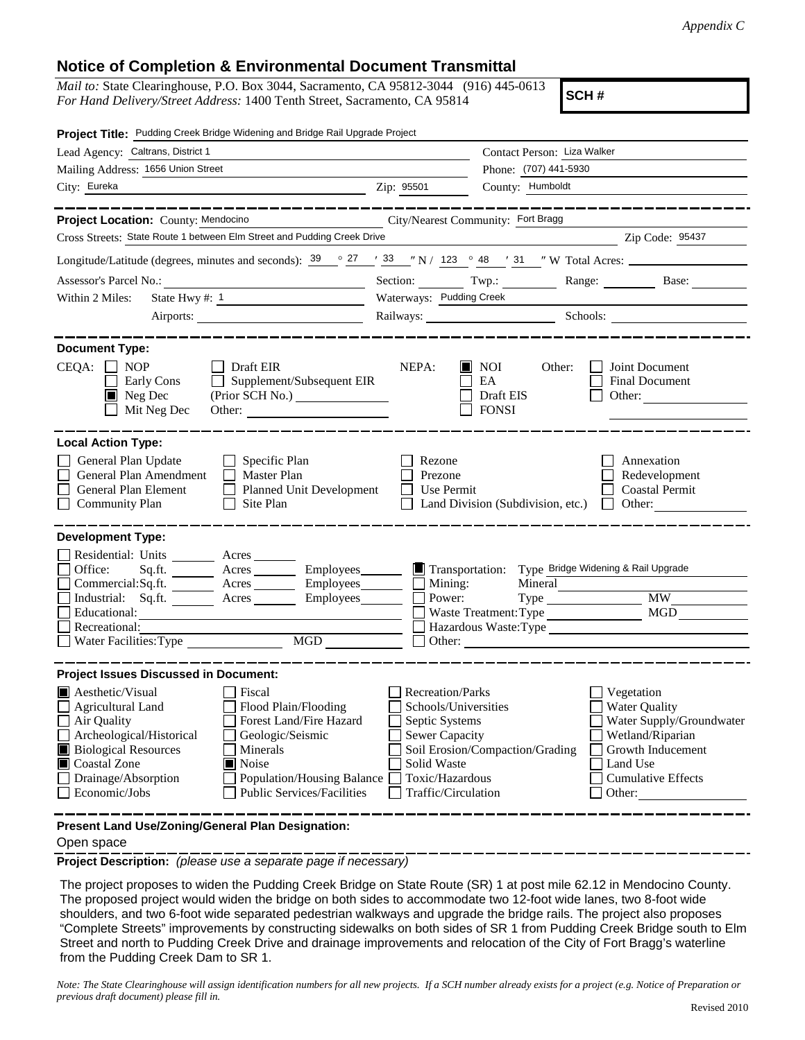## **Notice of Completion & Environmental Document Transmittal**

*Mail to:* State Clearinghouse, P.O. Box 3044, Sacramento, CA 95812-3044 (916) 445-0613 *For Hand Delivery/Street Address:* 1400 Tenth Street, Sacramento, CA 95814

**SCH #**

| Project Title: Pudding Creek Bridge Widening and Bridge Rail Upgrade Project                                                                                                                                                                                                                                                                                                   |                                                                                                                                              |                                                                                                                                                                   |                                                                                                                                                            |
|--------------------------------------------------------------------------------------------------------------------------------------------------------------------------------------------------------------------------------------------------------------------------------------------------------------------------------------------------------------------------------|----------------------------------------------------------------------------------------------------------------------------------------------|-------------------------------------------------------------------------------------------------------------------------------------------------------------------|------------------------------------------------------------------------------------------------------------------------------------------------------------|
| Lead Agency: Caltrans, District 1                                                                                                                                                                                                                                                                                                                                              |                                                                                                                                              | Contact Person: Liza Walker                                                                                                                                       |                                                                                                                                                            |
| Mailing Address: 1656 Union Street                                                                                                                                                                                                                                                                                                                                             |                                                                                                                                              | Phone: (707) 441-5930                                                                                                                                             |                                                                                                                                                            |
| City: Eureka                                                                                                                                                                                                                                                                                                                                                                   | Zip: 95501                                                                                                                                   | County: Humboldt                                                                                                                                                  |                                                                                                                                                            |
|                                                                                                                                                                                                                                                                                                                                                                                |                                                                                                                                              |                                                                                                                                                                   |                                                                                                                                                            |
| Project Location: County: Mendocino                                                                                                                                                                                                                                                                                                                                            | City/Nearest Community: Fort Bragg                                                                                                           |                                                                                                                                                                   |                                                                                                                                                            |
| Cross Streets: State Route 1 between Elm Street and Pudding Creek Drive                                                                                                                                                                                                                                                                                                        |                                                                                                                                              |                                                                                                                                                                   | Zip Code: 95437                                                                                                                                            |
| Longitude/Latitude (degrees, minutes and seconds): $\frac{39}{9}$ $\frac{27}{1}$ $\frac{33}{3}$ $\frac{1}{1}$ N / 123 $\degree$ 48 $\degree$ 31 $\degree$ W Total Acres:                                                                                                                                                                                                       |                                                                                                                                              |                                                                                                                                                                   |                                                                                                                                                            |
| Assessor's Parcel No.:<br><u> 1989 - Johann Barbara, martxa alemaniar a</u>                                                                                                                                                                                                                                                                                                    |                                                                                                                                              | Section: Twp.:                                                                                                                                                    | Range: Base:                                                                                                                                               |
| Within 2 Miles:                                                                                                                                                                                                                                                                                                                                                                | Waterways: Pudding Creek                                                                                                                     |                                                                                                                                                                   |                                                                                                                                                            |
|                                                                                                                                                                                                                                                                                                                                                                                |                                                                                                                                              |                                                                                                                                                                   | Railways: Schools: Schools:                                                                                                                                |
|                                                                                                                                                                                                                                                                                                                                                                                |                                                                                                                                              |                                                                                                                                                                   |                                                                                                                                                            |
| <b>Document Type:</b><br>$CEQA: \Box NP$<br>Draft EIR<br>Supplement/Subsequent EIR<br>Early Cons<br>Neg Dec<br>Mit Neg Dec<br>Other:                                                                                                                                                                                                                                           | NEPA:                                                                                                                                        | <b>NOI</b><br>Other:<br>EA<br>Draft EIS<br><b>FONSI</b>                                                                                                           | Joint Document<br>Final Document<br>Other:                                                                                                                 |
| <b>Local Action Type:</b><br>General Plan Update<br>$\Box$ Specific Plan<br>General Plan Amendment<br>Master Plan<br>General Plan Element<br>Planned Unit Development<br>$\mathsf{L}$<br>$\Box$ Community Plan<br>Site Plan                                                                                                                                                    | Rezone<br>Prezone<br>Use Permit                                                                                                              | Land Division (Subdivision, etc.)                                                                                                                                 | Annexation<br>Redevelopment<br><b>Coastal Permit</b><br>Other:                                                                                             |
| <b>Development Type:</b>                                                                                                                                                                                                                                                                                                                                                       |                                                                                                                                              |                                                                                                                                                                   |                                                                                                                                                            |
| Residential: Units _______ Acres ______<br>Office:<br>Sq.ft.<br>Acres<br>Commercial: Sq.ft.<br>Acres <u>__________</u> Employees ________<br>Industrial: Sq.ft. Acres<br>Educational:<br>$\mathsf{I}$<br>Recreational:<br>MGD<br>Water Facilities: Type                                                                                                                        | Employees________<br>$\blacksquare$ Mining:<br>Power:<br>Employees________<br>Other:                                                         | Transportation: Type Bridge Widening & Rail Upgrade<br>Mineral<br>Waste Treatment: Type<br>Hazardous Waste: Type<br><u> 1980 - Jan Samuel Barbara, margaret e</u> | MGD                                                                                                                                                        |
| <b>Project Issues Discussed in Document:</b>                                                                                                                                                                                                                                                                                                                                   |                                                                                                                                              |                                                                                                                                                                   |                                                                                                                                                            |
| <b>Aesthetic/Visual</b><br>Fiscal<br>Flood Plain/Flooding<br><b>Agricultural Land</b><br>Forest Land/Fire Hazard<br>$\Box$ Air Quality<br>Archeological/Historical<br>Geologic/Seismic<br><b>Biological Resources</b><br>Minerals<br>Coastal Zone<br><b>■</b> Noise<br>Drainage/Absorption<br>Population/Housing Balance<br>Economic/Jobs<br><b>Public Services/Facilities</b> | Recreation/Parks<br>Schools/Universities<br>Septic Systems<br><b>Sewer Capacity</b><br>Solid Waste<br>Toxic/Hazardous<br>Traffic/Circulation | Soil Erosion/Compaction/Grading                                                                                                                                   | Vegetation<br><b>Water Quality</b><br>Water Supply/Groundwater<br>Wetland/Riparian<br>Growth Inducement<br>Land Use<br><b>Cumulative Effects</b><br>Other: |
| Present Land Use/Zoning/General Plan Designation:                                                                                                                                                                                                                                                                                                                              |                                                                                                                                              |                                                                                                                                                                   |                                                                                                                                                            |

Open space

**Project Description:** *(please use a separate page if necessary)*

 The project proposes to widen the Pudding Creek Bridge on State Route (SR) 1 at post mile 62.12 in Mendocino County. The proposed project would widen the bridge on both sides to accommodate two 12-foot wide lanes, two 8-foot wide shoulders, and two 6-foot wide separated pedestrian walkways and upgrade the bridge rails. The project also proposes "Complete Streets" improvements by constructing sidewalks on both sides of SR 1 from Pudding Creek Bridge south to Elm Street and north to Pudding Creek Drive and drainage improvements and relocation of the City of Fort Bragg's waterline from the Pudding Creek Dam to SR 1.

*Note: The State Clearinghouse will assign identification numbers for all new projects. If a SCH number already exists for a project (e.g. Notice of Preparation or previous draft document) please fill in.*